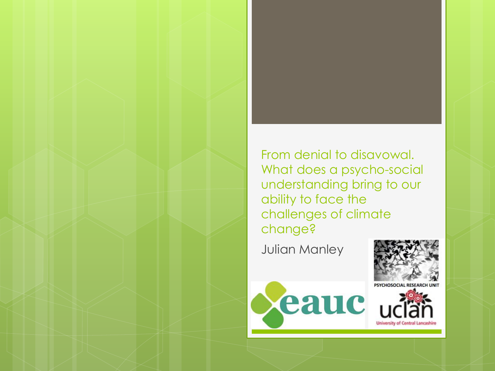From denial to disavowal. What does a psycho-social understanding bring to our ability to face the challenges of climate change?

Julian Manley





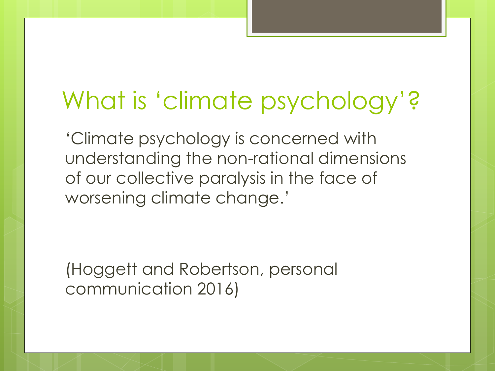### What is 'climate psychology'?

'Climate psychology is concerned with understanding the non-rational dimensions of our collective paralysis in the face of worsening climate change.'

(Hoggett and Robertson, personal communication 2016)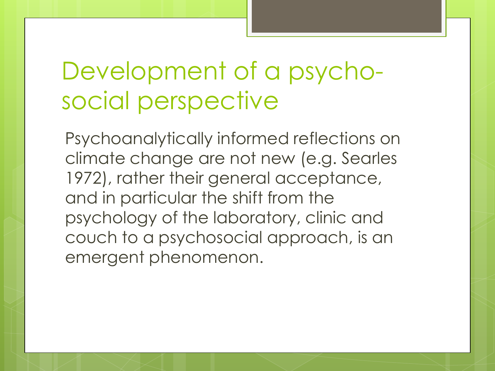## Development of a psychosocial perspective

Psychoanalytically informed reflections on climate change are not new (e.g. Searles 1972), rather their general acceptance, and in particular the shift from the psychology of the laboratory, clinic and couch to a psychosocial approach, is an emergent phenomenon.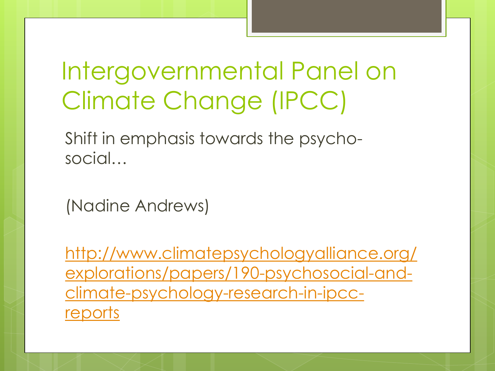## Intergovernmental Panel on Climate Change (IPCC)

Shift in emphasis towards the psychosocial…

(Nadine Andrews)

[http://www.climatepsychologyalliance.org/](http://www.climatepsychologyalliance.org/explorations/papers/190-psychosocial-and-climate-psychology-research-in-ipcc-reports) [explorations/papers/190-psychosocial-and](http://www.climatepsychologyalliance.org/explorations/papers/190-psychosocial-and-climate-psychology-research-in-ipcc-reports)[climate-psychology-research-in-ipcc](http://www.climatepsychologyalliance.org/explorations/papers/190-psychosocial-and-climate-psychology-research-in-ipcc-reports)[reports](http://www.climatepsychologyalliance.org/explorations/papers/190-psychosocial-and-climate-psychology-research-in-ipcc-reports)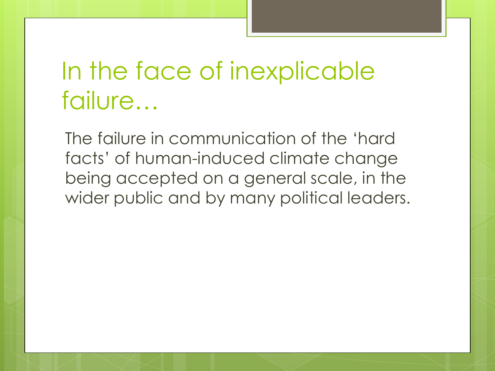## In the face of inexplicable failure…

The failure in communication of the 'hard facts' of human-induced climate change being accepted on a general scale, in the wider public and by many political leaders.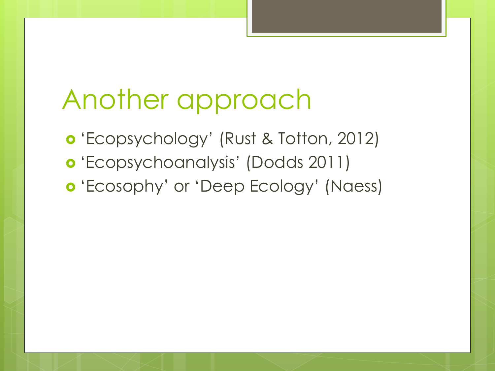## Another approach

 'Ecopsychology' (Rust & Totton, 2012) 'Ecopsychoanalysis' (Dodds 2011) 'Ecosophy' or 'Deep Ecology' (Naess)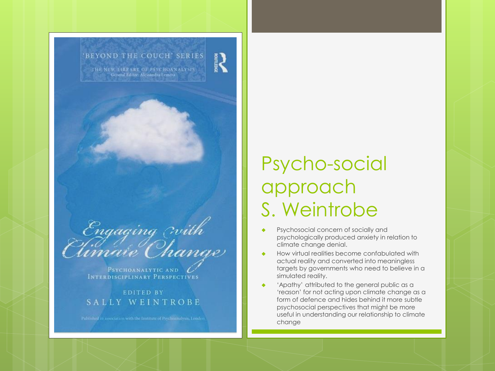

PSYCHOANALYTIC AND INTERDISCIPLINARY PERSPECTIVES

**EDITED BY** SALLY WEINTROBE

#### Psycho-social approach S. Weintrobe

- Psychosocial concern of socially and psychologically produced anxiety in relation to climate change denial.
- How virtual realities become confabulated with actual reality and converted into meaningless targets by governments who need to believe in a simulated reality.
- 'Apathy' attributed to the general public as a 'reason' for not acting upon climate change as a form of defence and hides behind it more subtle psychosocial perspectives that might be more useful in understanding our relationship to climate change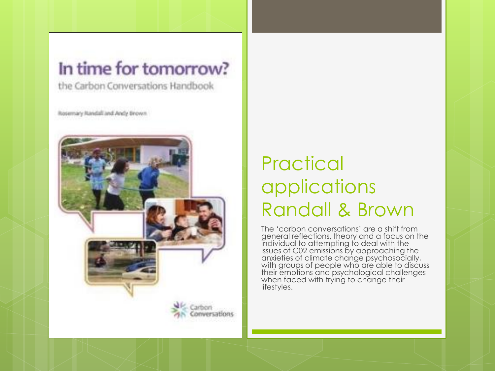#### In time for tomorrow?

the Carbon Conversations Handbook

Rosemary Randall and Andy Brown



#### **Practical** applications Randall & Brown

The 'carbon conversations' are a shift from general reflections, theory and a focus on the individual to attempting to deal with the issues of C02 emissions by approaching the anxieties of climate change psychosocially, with groups of people who are able to discuss their emotions and psychological challenges when faced with trying to change their lifestyles.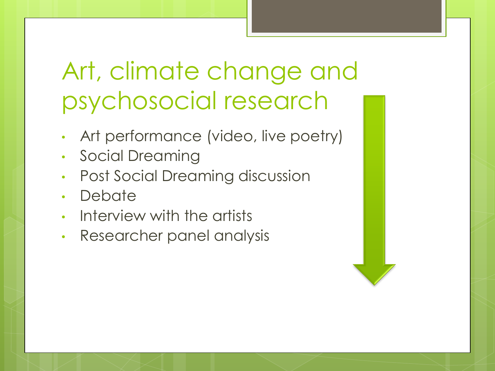## Art, climate change and psychosocial research

- Art performance (video, live poetry)
- Social Dreaming
- Post Social Dreaming discussion
- Debate
- Interview with the artists
- Researcher panel analysis

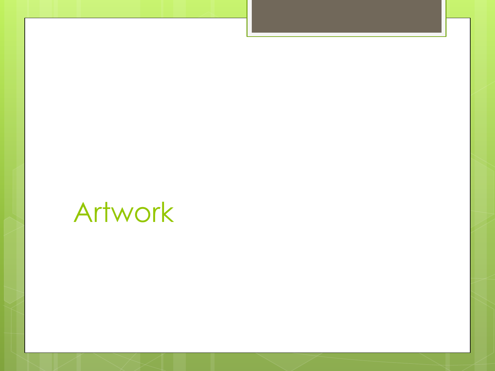## Artwork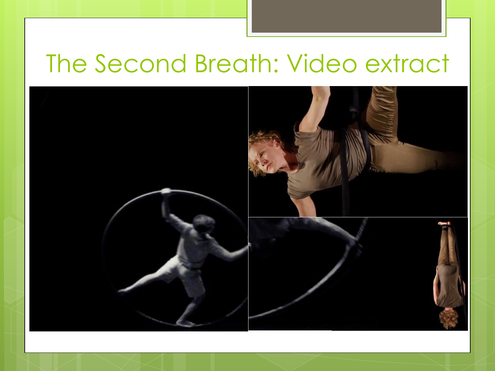#### The Second Breath: Video extract

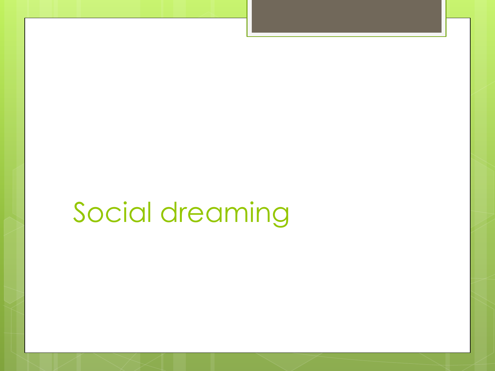# Social dreaming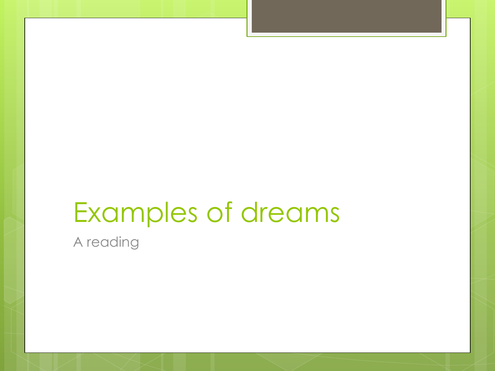# Examples of dreams

A reading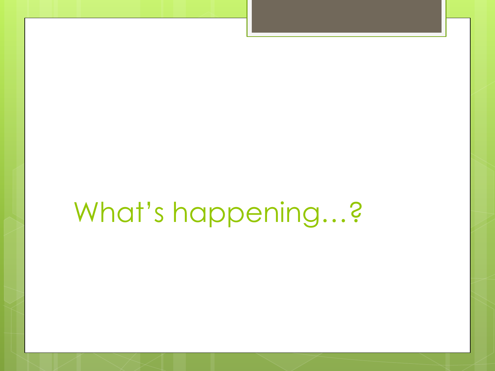# What's happening...?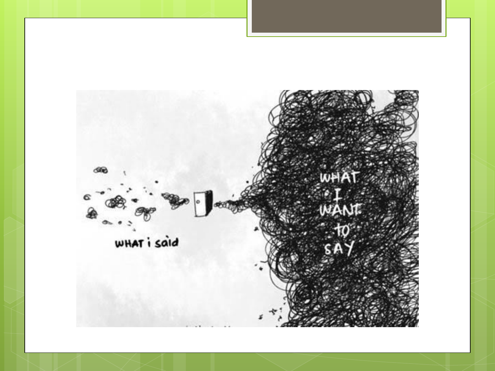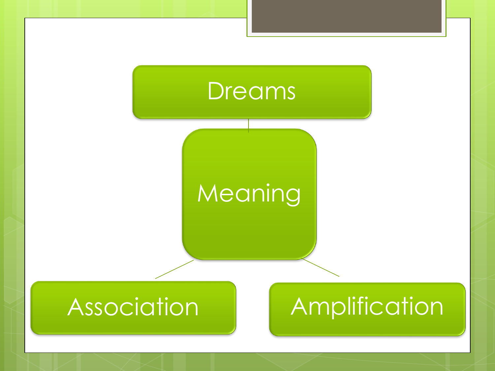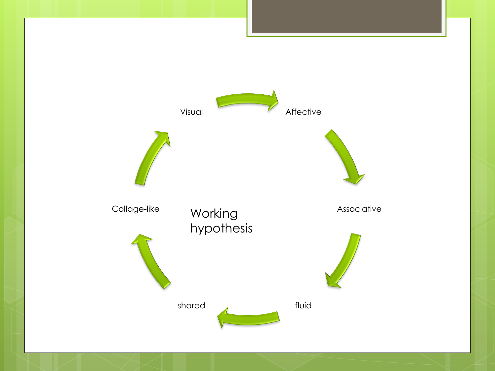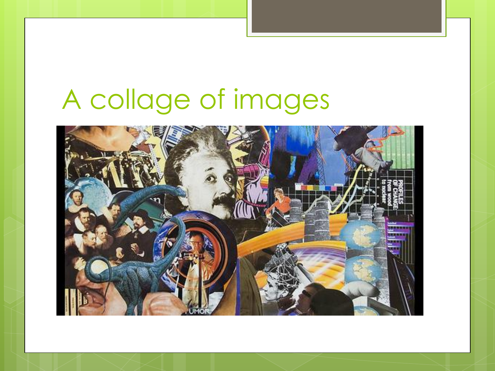## A collage of images

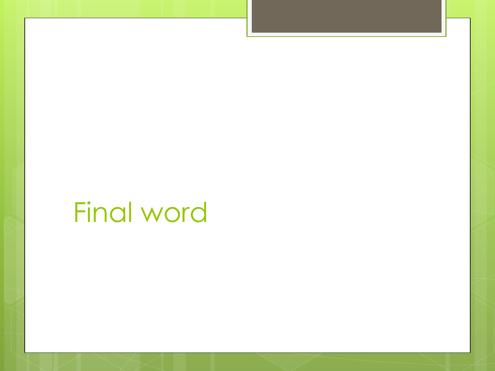## **Final word**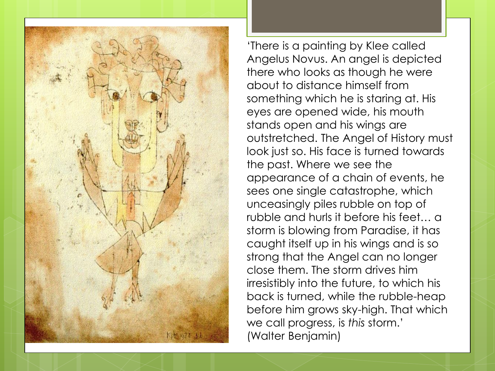

'There is a painting by Klee called Angelus Novus. An angel is depicted there who looks as though he were about to distance himself from something which he is staring at. His eyes are opened wide, his mouth stands open and his wings are outstretched. The Angel of History must look just so. His face is turned towards the past. Where we see the appearance of a chain of events, he sees one single catastrophe, which unceasingly piles rubble on top of rubble and hurls it before his feet… a storm is blowing from Paradise, it has caught itself up in his wings and is so strong that the Angel can no longer close them. The storm drives him irresistibly into the future, to which his back is turned, while the rubble-heap before him grows sky-high. That which we call progress, is *this* storm.' (Walter Benjamin)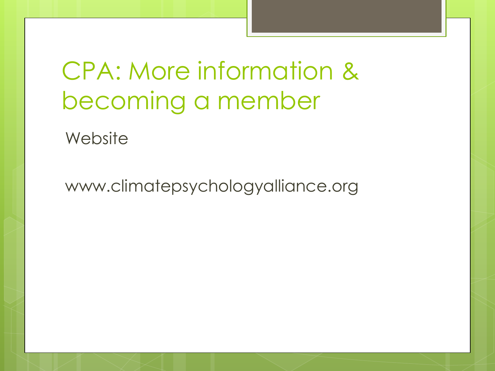CPA: More information & becoming a member

**Website** 

www.climatepsychologyalliance.org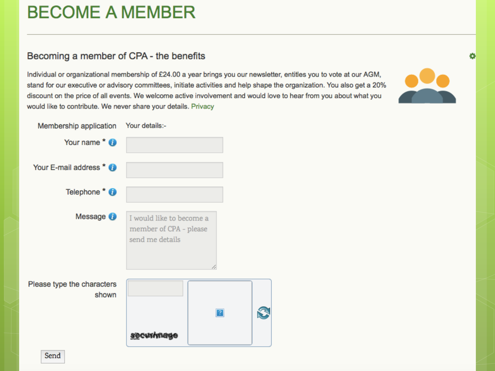#### **BECOME A MEMBER**

#### Becoming a member of CPA - the benefits

Individual or organizational membership of £24.00 a year brings you our newsletter, entitles you to vote at our AGM, stand for our executive or advisory committees, initiate activities and help shape the organization. You also get a 20% discount on the price of all events. We welcome active involvement and would love to hear from you about what you would like to contribute. We never share your details. Privacy

 $\mathbf{C}$ 



۰

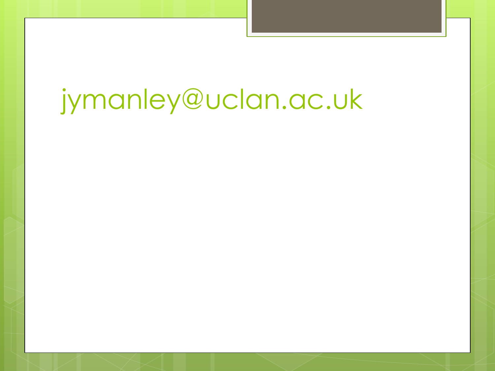# jymanley@uclan.ac.uk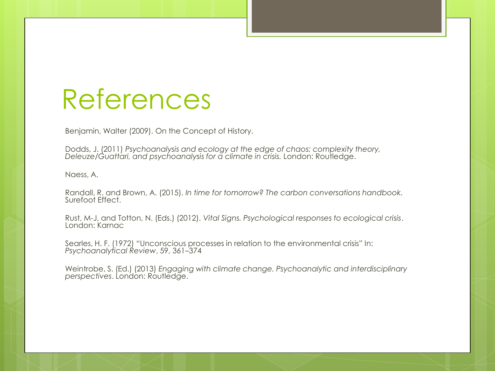#### References

Benjamin, Walter (2009). On the Concept of History.

Dodds, J. (2011) *Psychoanalysis and ecology at the edge of chaos: complexity theory, Deleuze/Guattari, and psychoanalysis for a climate in crisis.* London: Routledge.

Naess, A.

Randall, R. and Brown, A. (2015). *In time for tomorrow? The carbon conversations handbook.* Surefoot Effect.

Rust, M-J, and Totton, N. (Eds.) (2012). *Vital Signs. Psychological responses to ecological crisis*. London: Karnac

Searles, H. F. (1972) "Unconscious processes in relation to the environmental crisis" In: *Psychoanalytical Review*, 59, 361–374

Weintrobe, S. (Ed.) (2013) *Engaging with climate change. Psychoanalytic and interdisciplinary perspectives*. London: Routledge.